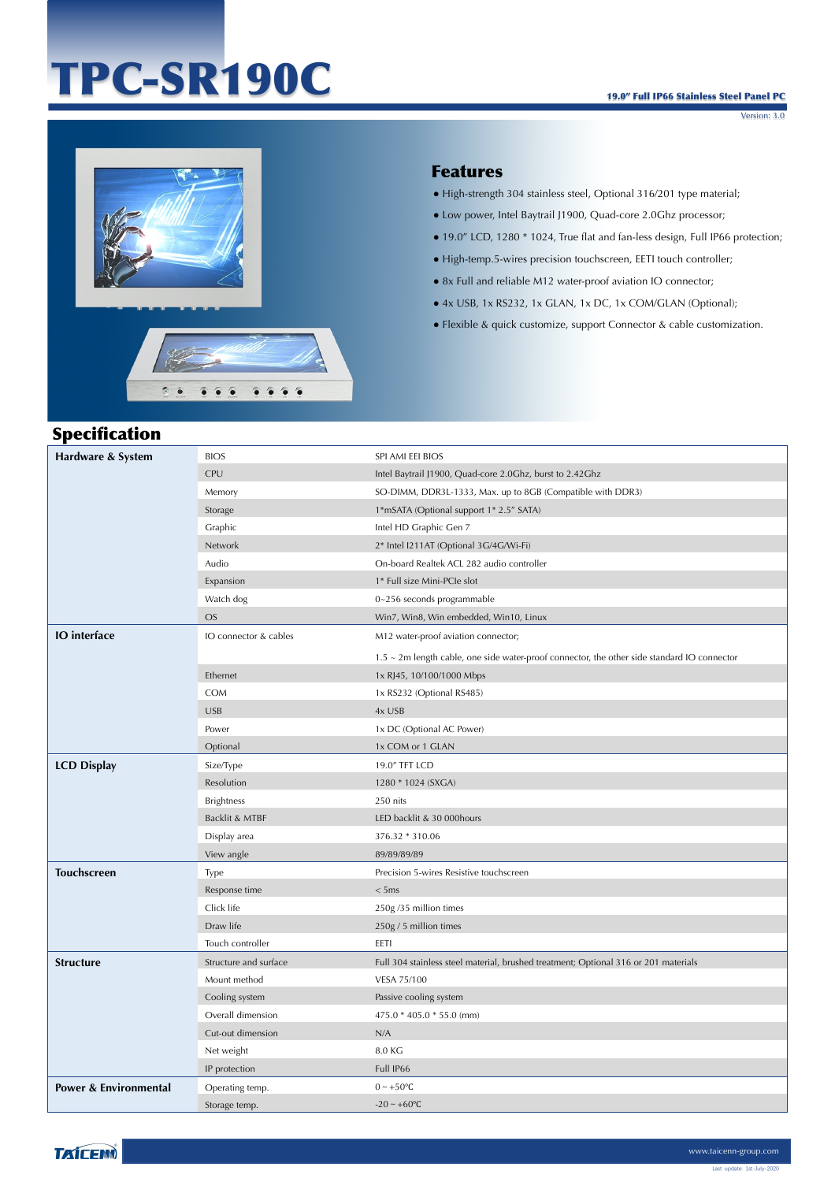# TPC-SR190C

Version: 3.0



# Features

- High-strength 304 stainless steel, Optional 316/201 type material;
- Low power, Intel Baytrail J1900, Quad-core 2.0Ghz processor;
- 19.0" LCD, 1280 \* 1024, True flat and fan-less design, Full IP66 protection;
- High-temp.5-wires precision touchscreen, EETI touch controller;
- 8x Full and reliable M12 water-proof aviation IO connector;
- 4x USB, 1x RS232, 1x GLAN, 1x DC, 1x COM/GLAN (Optional);
- Flexible & quick customize, support Connector & cable customization.

### Specification

| Hardware & System                | <b>BIOS</b>           | SPI AMI EEI BIOS                                                                                  |
|----------------------------------|-----------------------|---------------------------------------------------------------------------------------------------|
|                                  | CPU                   | Intel Baytrail J1900, Quad-core 2.0Ghz, burst to 2.42Ghz                                          |
|                                  | Memory                | SO-DIMM, DDR3L-1333, Max. up to 8GB (Compatible with DDR3)                                        |
|                                  | Storage               | 1*mSATA (Optional support 1* 2.5" SATA)                                                           |
|                                  | Graphic               | Intel HD Graphic Gen 7                                                                            |
|                                  | Network               | 2* Intel I211AT (Optional 3G/4G/Wi-Fi)                                                            |
|                                  | Audio                 | On-board Realtek ACL 282 audio controller                                                         |
|                                  | Expansion             | 1* Full size Mini-PCIe slot                                                                       |
|                                  | Watch dog             | 0~256 seconds programmable                                                                        |
|                                  | <b>OS</b>             | Win7, Win8, Win embedded, Win10, Linux                                                            |
| <b>IO</b> interface              | IO connector & cables | M12 water-proof aviation connector;                                                               |
|                                  |                       | $1.5 \sim 2$ m length cable, one side water-proof connector, the other side standard IO connector |
|                                  | Ethernet              | 1x RJ45, 10/100/1000 Mbps                                                                         |
|                                  | COM                   | 1x RS232 (Optional RS485)                                                                         |
|                                  | <b>USB</b>            | 4x USB                                                                                            |
|                                  | Power                 | 1x DC (Optional AC Power)                                                                         |
|                                  | Optional              | 1x COM or 1 GLAN                                                                                  |
| <b>LCD Display</b>               | Size/Type             | 19.0" TFT LCD                                                                                     |
|                                  | Resolution            | 1280 * 1024 (SXGA)                                                                                |
|                                  | <b>Brightness</b>     | 250 nits                                                                                          |
|                                  | Backlit & MTBF        | LED backlit & 30 000 hours                                                                        |
|                                  | Display area          | 376.32 * 310.06                                                                                   |
|                                  | View angle            | 89/89/89/89                                                                                       |
| <b>Touchscreen</b>               | Type                  | Precision 5-wires Resistive touchscreen                                                           |
|                                  | Response time         | < 5ms                                                                                             |
|                                  | Click life            | 250g/35 million times                                                                             |
|                                  | Draw life             | 250g / 5 million times                                                                            |
|                                  | Touch controller      | EETI                                                                                              |
| <b>Structure</b>                 | Structure and surface | Full 304 stainless steel material, brushed treatment; Optional 316 or 201 materials               |
|                                  | Mount method          | VESA 75/100                                                                                       |
|                                  | Cooling system        | Passive cooling system                                                                            |
|                                  | Overall dimension     | 475.0 * 405.0 * 55.0 (mm)                                                                         |
|                                  | Cut-out dimension     | N/A                                                                                               |
|                                  | Net weight            | 8.0 KG                                                                                            |
|                                  | IP protection         | Full IP66                                                                                         |
| <b>Power &amp; Environmental</b> | Operating temp.       | $0 \sim +50$ °C                                                                                   |
|                                  | Storage temp.         | $-20 - +60$ °C                                                                                    |